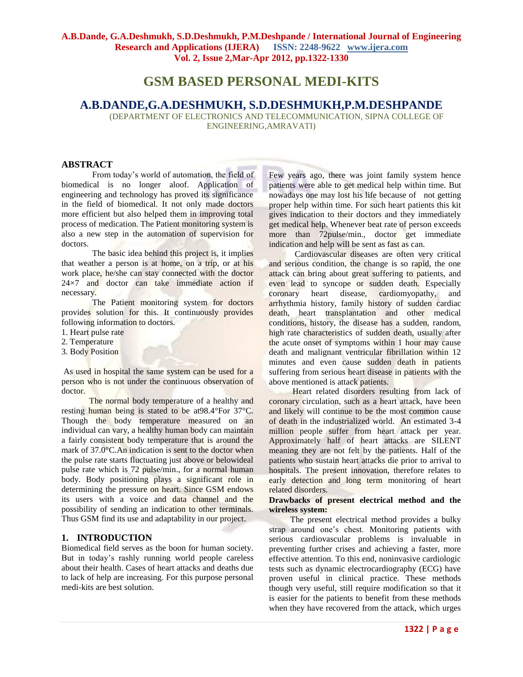# **GSM BASED PERSONAL MEDI-KITS**

# **A.B.DANDE,G.A.DESHMUKH, S.D.DESHMUKH,P.M.DESHPANDE**

(DEPARTMENT OF ELECTRONICS AND TELECOMMUNICATION, SIPNA COLLEGE OF ENGINEERING,AMRAVATI)

#### **ABSTRACT**

From today's world of automation, the field of biomedical is no longer aloof. Application of engineering and technology has proved its significance in the field of biomedical. It not only made doctors more efficient but also helped them in improving total process of medication. The Patient monitoring system is also a new step in the automation of supervision for doctors.

The basic idea behind this project is, it implies that weather a person is at home, on a trip, or at his work place, he/she can stay connected with the doctor  $24\times7$  and doctor can take immediate action if necessary.

The Patient monitoring system for doctors provides solution for this. It continuously provides following information to doctors.

- 1. Heart pulse rate
- 2. Temperature
- 3. Body Position

As used in hospital the same system can be used for a person who is not under the continuous observation of doctor.

 The normal body temperature of a healthy and resting human being is stated to be at98.4°For 37°C. Though the body temperature measured on an individual can vary, a healthy human body can maintain a fairly consistent body temperature that is around the mark of 37.0°C.An indication is sent to the doctor when the pulse rate starts fluctuating just above or belowideal pulse rate which is 72 pulse/min., for a normal human body. Body positioning plays a significant role in determining the pressure on heart. Since GSM endows its users with a voice and data channel and the possibility of sending an indication to other terminals. Thus GSM find its use and adaptability in our project.

# **1. INTRODUCTION**

Biomedical field serves as the boon for human society. But in today's rashly running world people careless about their health. Cases of heart attacks and deaths due to lack of help are increasing. For this purpose personal medi-kits are best solution.

Few years ago, there was joint family system hence patients were able to get medical help within time. But nowadays one may lost his life because of not getting proper help within time. For such heart patients this kit gives indication to their doctors and they immediately get medical help. Whenever beat rate of person exceeds more than 72pulse/min., doctor get immediate indication and help will be sent as fast as can.

 Cardiovascular diseases are often very critical and serious condition, the change is so rapid, the one attack can bring about great suffering to patients, and even lead to syncope or sudden death. Especially coronary heart disease, cardiomyopathy, and arrhythmia history, family history of sudden cardiac death, heart transplantation and other medical conditions, history, the disease has a sudden, random, high rate characteristics of sudden death, usually after the acute onset of symptoms within 1 hour may cause death and malignant ventricular fibrillation within 12 minutes and even cause sudden death in patients suffering from serious heart disease in patients with the above mentioned is attack patients.

 Heart related disorders resulting from lack of coronary circulation, such as a heart attack, have been and likely will continue to be the most common cause of death in the industrialized world. An estimated 3-4 million people suffer from heart attack per year. Approximately half of heart attacks are SILENT meaning they are not felt by the patients. Half of the patients who sustain heart attacks die prior to arrival to hospitals. The present innovation, therefore relates to early detection and long term monitoring of heart related disorders.

#### **Drawbacks of present electrical method and the wireless system:**

 The present electrical method provides a bulky strap around one's chest. Monitoring patients with serious cardiovascular problems is invaluable in preventing further crises and achieving a faster, more effective attention. To this end, noninvasive cardiologic tests such as dynamic electrocardiography (ECG) have proven useful in clinical practice. These methods though very useful, still require modification so that it is easier for the patients to benefit from these methods when they have recovered from the attack, which urges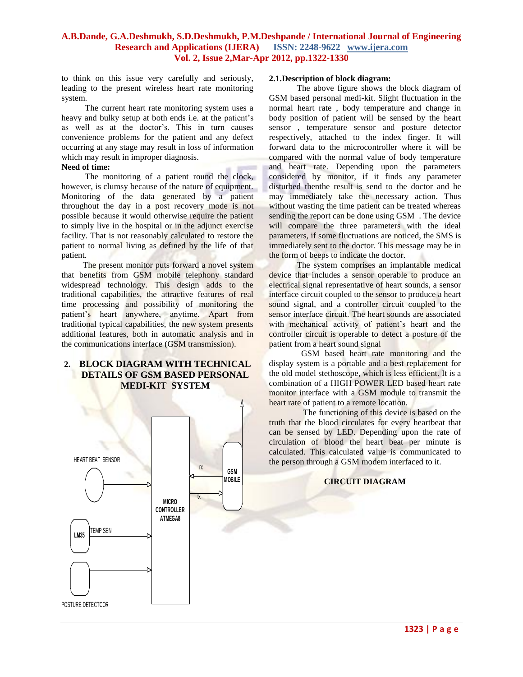to think on this issue very carefully and seriously, leading to the present wireless heart rate monitoring system.

 The current heart rate monitoring system uses a heavy and bulky setup at both ends i.e. at the patient's as well as at the doctor's. This in turn causes convenience problems for the patient and any defect occurring at any stage may result in loss of information which may result in improper diagnosis.

#### **Need of time:**

 The monitoring of a patient round the clock, however, is clumsy because of the nature of equipment. Monitoring of the data generated by a patient throughout the day in a post recovery mode is not possible because it would otherwise require the patient to simply live in the hospital or in the adjunct exercise facility. That is not reasonably calculated to restore the patient to normal living as defined by the life of that patient.

 The present monitor puts forward a novel system that benefits from GSM mobile telephony standard widespread technology. This design adds to the traditional capabilities, the attractive features of real time processing and possibility of monitoring the patient's heart anywhere, anytime. Apart from traditional typical capabilities, the new system presents additional features, both in automatic analysis and in the communications interface (GSM transmission).

# **2. BLOCK DIAGRAM WITH TECHNICAL DETAILS OF GSM BASED PERSONAL MEDI-KIT SYSTEM**



#### **2.1.Description of block diagram:**

 The above figure shows the block diagram of GSM based personal medi-kit. Slight fluctuation in the normal heart rate , body temperature and change in body position of patient will be sensed by the heart sensor , temperature sensor and posture detector respectively, attached to the index finger. It will forward data to the microcontroller where it will be compared with the normal value of body temperature and heart rate. Depending upon the parameters considered by monitor, if it finds any parameter disturbed thenthe result is send to the doctor and he may immediately take the necessary action. Thus without wasting the time patient can be treated whereas sending the report can be done using GSM . The device will compare the three parameters with the ideal parameters, if some fluctuations are noticed, the SMS is immediately sent to the doctor. This message may be in the form of beeps to indicate the doctor.

 The system comprises an implantable medical device that includes a sensor operable to produce an electrical signal representative of heart sounds, a sensor interface circuit coupled to the sensor to produce a heart sound signal, and a controller circuit coupled to the sensor interface circuit. The heart sounds are associated with mechanical activity of patient's heart and the controller circuit is operable to detect a posture of the patient from a heart sound signal

 GSM based heart rate monitoring and the display system is a portable and a best replacement for the old model stethoscope, which is less efficient. It is a combination of a HIGH POWER LED based heart rate monitor interface with a GSM module to transmit the heart rate of patient to a remote location.

 The functioning of this device is based on the truth that the blood circulates for every heartbeat that can be sensed by LED. Depending upon the rate of circulation of blood the heart beat per minute is calculated. This calculated value is communicated to the person through a GSM modem interfaced to it.

#### **CIRCUIT DIAGRAM**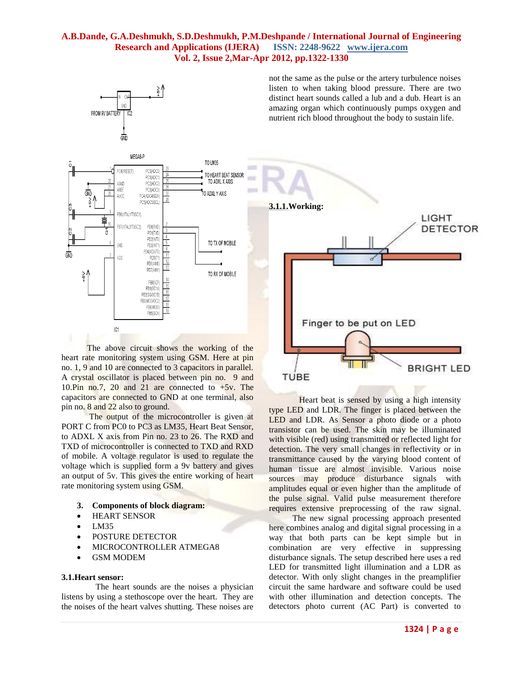



The above circuit shows the working of the heart rate monitoring system using GSM. Here at pin no. 1, 9 and 10 are connected to 3 capacitors in parallel. A crystal oscillator is placed between pin no. 9 and 10.Pin no.7, 20 and 21 are connected to  $+5v$ . The capacitors are connected to GND at one terminal, also pin no. 8 and 22 also to ground.

 The output of the microcontroller is given at PORT C from PC0 to PC3 as LM35, Heart Beat Sensor, to ADXL X axis from Pin no. 23 to 26. The RXD and TXD of microcontroller is connected to TXD and RXD of mobile. A voltage regulator is used to regulate the voltage which is supplied form a 9v battery and gives an output of 5v. This gives the entire working of heart rate monitoring system using GSM.

- **3. Components of block diagram:**
- HEART SENSOR
- $-LM35$
- **POSTURE DETECTOR**
- MICROCONTROLLER ATMEGA8
- GSM MODEM

#### **3.1.Heart sensor:**

 The heart sounds are the noises a physician listens by using a stethoscope over the heart. They are the noises of the heart valves shutting. These noises are not the same as the pulse or the artery turbulence noises listen to when taking blood pressure. There are two distinct heart sounds called a lub and a dub. Heart is an amazing organ which continuously pumps oxygen and nutrient rich blood throughout the body to sustain life.



Heart beat is sensed by using a high intensity type LED and LDR. The finger is placed between the LED and LDR. As Sensor a photo diode or a photo transistor can be used. The skin may be illuminated with visible (red) using transmitted or reflected light for detection. The very small changes in reflectivity or in transmittance caused by the varying blood content of human tissue are almost invisible. Various noise sources may produce disturbance signals with amplitudes equal or even higher than the amplitude of the pulse signal. Valid pulse measurement therefore requires extensive preprocessing of the raw signal.

 The new signal processing approach presented here combines analog and digital signal processing in a way that both parts can be kept simple but in combination are very effective in suppressing disturbance signals. The setup described here uses a red LED for transmitted light illumination and a LDR as detector. With only slight changes in the preamplifier circuit the same hardware and software could be used with other illumination and detection concepts. The detectors photo current (AC Part) is converted to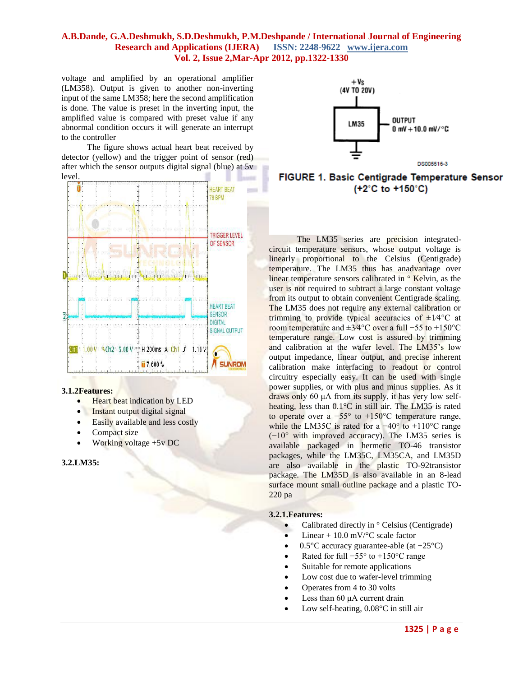voltage and amplified by an operational amplifier (LM358). Output is given to another non-inverting input of the same LM358; here the second amplification is done. The value is preset in the inverting input, the amplified value is compared with preset value if any abnormal condition occurs it will generate an interrupt to the controller

 The figure shows actual heart beat received by detector (yellow) and the trigger point of sensor (red) after which the sensor outputs digital signal (blue) at 5v level.



#### **3.1.2Features:**

- Heart beat indication by LED
- Instant output digital signal
- Easily available and less costly
- Compact size
- Working voltage +5v DC

# **3.2.LM35:**



FIGURE 1. Basic Centigrade Temperature Sensor (+2°C to +150°C)

The LM35 series are precision integratedcircuit temperature sensors, whose output voltage is linearly proportional to the Celsius (Centigrade) temperature. The LM35 thus has anadvantage over linear temperature sensors calibrated in ° Kelvin, as the user is not required to subtract a large constant voltage from its output to obtain convenient Centigrade scaling. The LM35 does not require any external calibration or trimming to provide typical accuracies of  $\pm 1/4$ °C at room temperature and ±3⁄4°C over a full −55 to +150°C temperature range. Low cost is assured by trimming and calibration at the wafer level. The LM35's low output impedance, linear output, and precise inherent calibration make interfacing to readout or control circuitry especially easy. It can be used with single power supplies, or with plus and minus supplies. As it draws only 60 μA from its supply, it has very low selfheating, less than 0.1°C in still air. The LM35 is rated to operate over a −55° to +150°C temperature range, while the LM35C is rated for a  $-40^{\circ}$  to  $+110^{\circ}$ C range (−10° with improved accuracy). The LM35 series is available packaged in hermetic TO-46 transistor packages, while the LM35C, LM35CA, and LM35D are also available in the plastic TO-92transistor package. The LM35D is also available in an 8-lead surface mount small outline package and a plastic TO-220 pa

#### **3.2.1.Features:**

- Calibrated directly in  $\circ$  Celsius (Centigrade)
- Linear + 10.0 mV/°C scale factor
- 0.5 $\degree$ C accuracy guarantee-able (at +25 $\degree$ C)
- Rated for full  $-55^\circ$  to  $+150^\circ$ C range
- Suitable for remote applications
- Low cost due to wafer-level trimming
- Operates from 4 to 30 volts
- Less than 60 μA current drain
- Low self-heating, 0.08°C in still air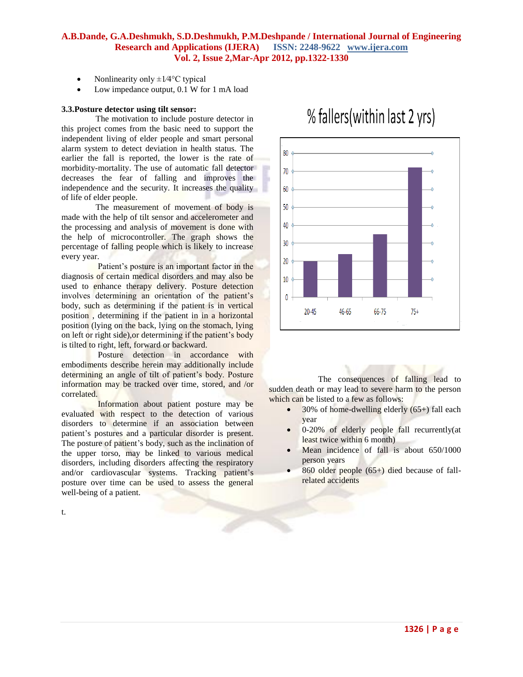20

10

0

 $20 - 45$ 

46-65

- Nonlinearity only  $\pm 1/4$ °C typical
- Low impedance output, 0.1 W for 1 mA load

#### **3.3.Posture detector using tilt sensor:**

 The motivation to include posture detector in this project comes from the basic need to support the independent living of elder people and smart personal alarm system to detect deviation in health status. The earlier the fall is reported, the lower is the rate of morbidity-mortality. The use of automatic fall detector decreases the fear of falling and improves the independence and the security. It increases the quality of life of elder people.

 The measurement of movement of body is made with the help of tilt sensor and accelerometer and the processing and analysis of movement is done with the help of microcontroller. The graph shows the percentage of falling people which is likely to increase every year.

 Patient's posture is an important factor in the diagnosis of certain medical disorders and may also be used to enhance therapy delivery. Posture detection involves determining an orientation of the patient's body, such as determining if the patient is in vertical position , determining if the patient in in a horizontal position (lying on the back, lying on the stomach, lying on left or right side),or determining if the patient's body is tilted to right, left, forward or backward.

 Posture detection in accordance with embodiments describe herein may additionally include determining an angle of tilt of patient's body. Posture information may be tracked over time, stored, and /or correlated.

 Information about patient posture may be evaluated with respect to the detection of various disorders to determine if an association between patient's postures and a particular disorder is present. The posture of patient's body, such as the inclination of the upper torso, may be linked to various medical disorders, including disorders affecting the respiratory and/or cardiovascular systems. Tracking patient's posture over time can be used to assess the general well-being of a patient.

# 80 70 60 50 40  $30$

% fallers (within last 2 yrs)

 The consequences of falling lead to sudden death or may lead to severe harm to the person which can be listed to a few as follows:

 30% of home-dwelling elderly (65+) fall each year

66-75

 $75+$ 

- 0-20% of elderly people fall recurrently(at least twice within 6 month)
- Mean incidence of fall is about 650/1000 person years
- 860 older people (65+) died because of fallrelated accidents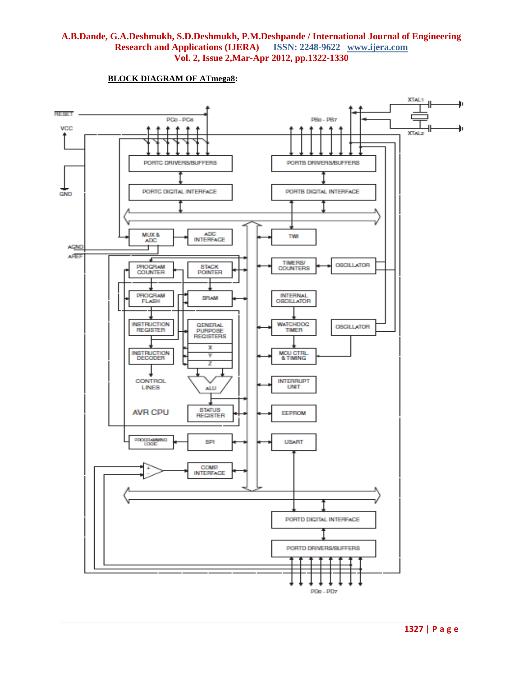

#### **BLOCK DIAGRAM OF ATmega8:**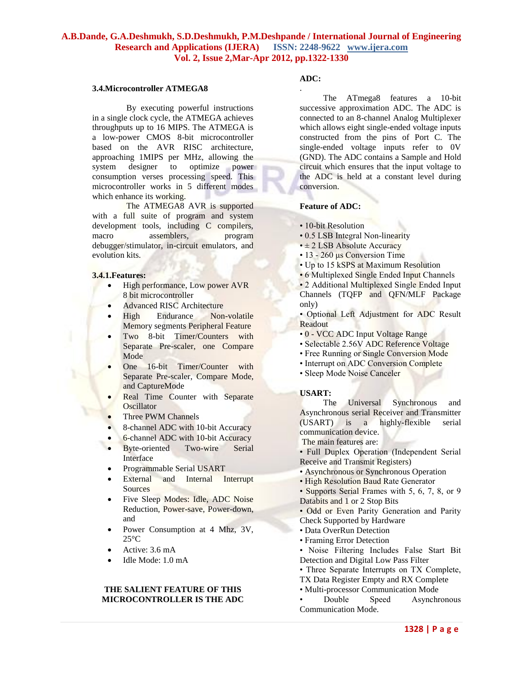#### **3.4.Microcontroller ATMEGA8**

 By executing powerful instructions in a single clock cycle, the ATMEGA achieves throughputs up to 16 MIPS. The ATMEGA is a low-power CMOS 8-bit microcontroller based on the AVR RISC architecture, approaching 1MIPS per MHz, allowing the system designer to optimize power consumption verses processing speed. This microcontroller works in 5 different modes which enhance its working.

 The ATMEGA8 AVR is supported with a full suite of program and system development tools, including C compilers,<br>macro assemblers, program macro assemblers, debugger/stimulator, in-circuit emulators, and evolution kits.

#### **3.4.1.Features:**

- High performance, Low power AVR 8 bit microcontroller
- Advanced RISC Architecture
- High Endurance Non-volatile Memory segments Peripheral Feature
- Two 8-bit Timer/Counters with Separate Pre-scaler, one Compare Mode
- One 16-bit Timer/Counter with Separate Pre-scaler, Compare Mode, and CaptureMode
- Real Time Counter with Separate **Oscillator**
- Three PWM Channels
- 8-channel ADC with 10-bit Accuracy
- 6-channel ADC with 10-bit Accuracy
- Byte-oriented Two-wire Serial Interface
- Programmable Serial USART
- External and Internal Interrupt **Sources**
- Five Sleep Modes: Idle, ADC Noise Reduction, Power-save, Power-down, and
- Power Consumption at 4 Mhz, 3V,  $25^{\circ}$ C
- Active: 3.6 mA
- Idle Mode: 1.0 mA

# **THE SALIENT FEATURE OF THIS MICROCONTROLLER IS THE ADC**

#### **ADC:**

.

 The ATmega8 features a 10-bit successive approximation ADC. The ADC is connected to an 8-channel Analog Multiplexer which allows eight single-ended voltage inputs constructed from the pins of Port C. The single-ended voltage inputs refer to 0V (GND). The ADC contains a Sample and Hold circuit which ensures that the input voltage to the ADC is held at a constant level during conversion.

#### **Feature of ADC:**

- 10-bit Resolution
- 0.5 LSB Integral Non-linearity
- $\cdot \pm 2$  LSB Absolute Accuracy
- 13 260 μs Conversion Time
- Up to 15 kSPS at Maximum Resolution
- 6 Multiplexed Single Ended Input Channels
- 2 Additional Multiplexed Single Ended Input Channels (TQFP and QFN/MLF Package only)
- Optional Left Adjustment for ADC Result Readout
- 0 VCC ADC Input Voltage Range
- Selectable 2.56V ADC Reference Voltage
- Free Running or Single Conversion Mode
- Interrupt on ADC Conversion Complete
- Sleep Mode Noise Canceler

#### **USART:**

 The Universal Synchronous and Asynchronous serial Receiver and Transmitter (USART) is a highly-flexible serial communication device.

The main features are:

• Full Duplex Operation (Independent Serial Receive and Transmit Registers)

- Asynchronous or Synchronous Operation
- High Resolution Baud Rate Generator

• Supports Serial Frames with 5, 6, 7, 8, or 9 Databits and 1 or 2 Stop Bits

• Odd or Even Parity Generation and Parity Check Supported by Hardware

- 
- Data OverRun Detection
- Framing Error Detection

• Noise Filtering Includes False Start Bit Detection and Digital Low Pass Filter

- Three Separate Interrupts on TX Complete,
- TX Data Register Empty and RX Complete
- Multi-processor Communication Mode

• Double Speed Asynchronous Communication Mode.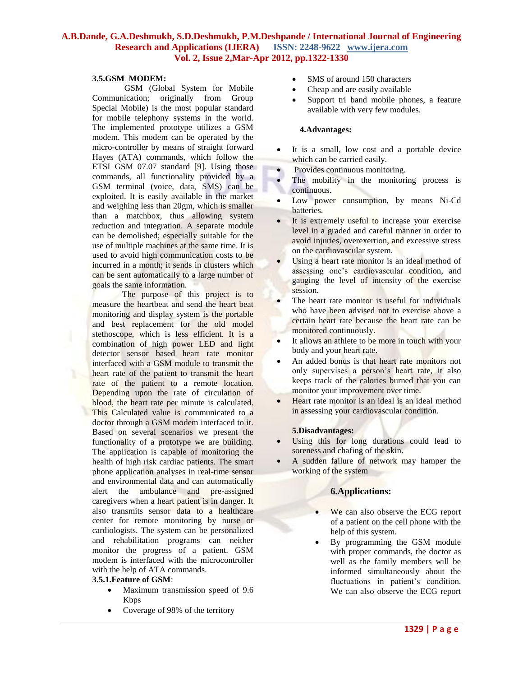#### **3.5.GSM MODEM:**

 GSM (Global System for Mobile Communication; originally from Group Special Mobile) is the most popular standard for mobile telephony systems in the world. The implemented prototype utilizes a GSM modem. This modem can be operated by the micro-controller by means of straight forward Hayes (ATA) commands, which follow the ETSI GSM 07.07 standard [9]. Using those commands, all functionality provided by a GSM terminal (voice, data, SMS) can be exploited. It is easily available in the market and weighing less than 20gm, which is smaller than a matchbox, thus allowing system reduction and integration. A separate module can be demolished; especially suitable for the use of multiple machines at the same time. It is used to avoid high communication costs to be incurred in a month; it sends in clusters which can be sent automatically to a large number of goals the same information.

 The purpose of this project is to measure the heartbeat and send the heart beat monitoring and display system is the portable and best replacement for the old model stethoscope, which is less efficient. It is a combination of high power LED and light detector sensor based heart rate monitor interfaced with a GSM module to transmit the heart rate of the patient to transmit the heart rate of the patient to a remote location. Depending upon the rate of circulation of blood, the heart rate per minute is calculated. This Calculated value is communicated to a doctor through a GSM modem interfaced to it. Based on several scenarios we present the functionality of a prototype we are building. The application is capable of monitoring the health of high risk cardiac patients. The smart phone application analyses in real-time sensor and environmental data and can automatically alert the ambulance and pre-assigned caregivers when a heart patient is in danger. It also transmits sensor data to a healthcare center for remote monitoring by nurse or cardiologists. The system can be personalized and rehabilitation programs can neither monitor the progress of a patient. GSM modem is interfaced with the microcontroller with the help of ATA commands.

# **3.5.1.Feature of GSM**:

- Maximum transmission speed of 9.6 Kbps
- Coverage of 98% of the territory
- SMS of around 150 characters
- Cheap and are easily available
- Support tri band mobile phones, a feature available with very few modules.

# **4.Advantages:**

- It is a small, low cost and a portable device which can be carried easily.
- Provides continuous monitoring.
- The mobility in the monitoring process is continuous.
- Low power consumption, by means Ni-Cd batteries.
- It is extremely useful to increase your exercise level in a graded and careful manner in order to avoid injuries, overexertion, and excessive stress on the cardiovascular system.
- Using a heart rate monitor is an ideal method of assessing one's cardiovascular condition, and gauging the level of intensity of the exercise session.
- The heart rate monitor is useful for individuals who have been advised not to exercise above a certain heart rate because the heart rate can be monitored continuously.
- It allows an athlete to be more in touch with your body and your heart rate.
- An added bonus is that heart rate monitors not only supervises a person's heart rate, it also keeps track of the calories burned that you can monitor your improvement over time.
- Heart rate monitor is an ideal is an ideal method in assessing your cardiovascular condition.

#### **5.Disadvantages:**

- Using this for long durations could lead to soreness and chafing of the skin.
- A sudden failure of network may hamper the working of the system

# **6.Applications:**

- We can also observe the ECG report of a patient on the cell phone with the help of this system.
- By programming the GSM module with proper commands, the doctor as well as the family members will be informed simultaneously about the fluctuations in patient's condition. We can also observe the ECG report